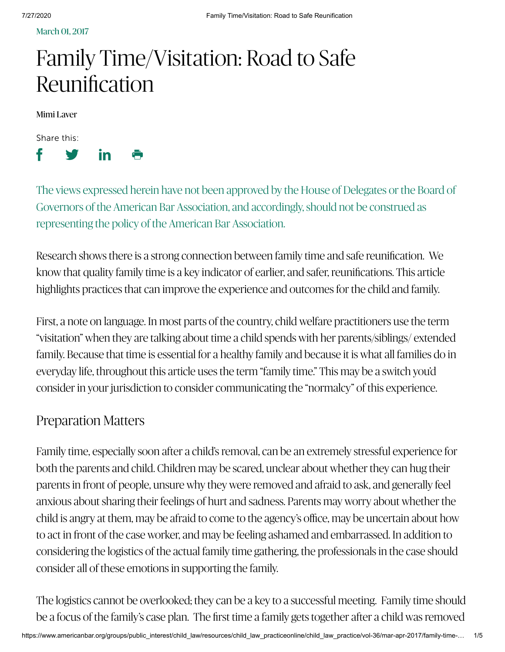March 01, 2017

# Family Time/Visitation: Road to Safe Reunification

Mimi Laver

Share this:



The views expressed herein have not been approved by the House of Delegates or the Board of Governors of the American Bar Association, and accordingly, should not be construed as representing the policy of the American Bar Association.

Research shows there is a strong connection between family time and safe reunification. We know that quality family time is a key indicator of earlier, and safer, reunifications. This article highlights practices that can improve the experience and outcomes for the child and family.

First, a note on language. In most parts of the country, child welfare practitioners use the term "visitation" when they are talking about time a child spends with her parents/siblings/ extended family. Because that time is essential for a healthy family and because it is what all families do in everyday life, throughout this article uses the term "family time." This may be a switch you'd consider in your jurisdiction to consider communicating the "normalcy" of this experience.

#### Preparation Matters

Family time, especially soon after a child's removal, can be an extremely stressful experience for both the parents and child. Children may be scared, unclear about whether they can hug their parents in front of people, unsure why they were removed and afraid to ask, and generally feel anxious about sharing their feelings of hurt and sadness. Parents may worry about whether the child is angry at them, may be afraid to come to the agency's office, may be uncertain about how to act in front of the case worker, and may be feeling ashamed and embarrassed. In addition to considering the logistics of the actual family time gathering, the professionals in the case should consider all of these emotions in supporting the family.

The logistics cannot be overlooked; they can be a key to a successful meeting. Family time should be a focus of the family's case plan. The first time a family gets together after a child was removed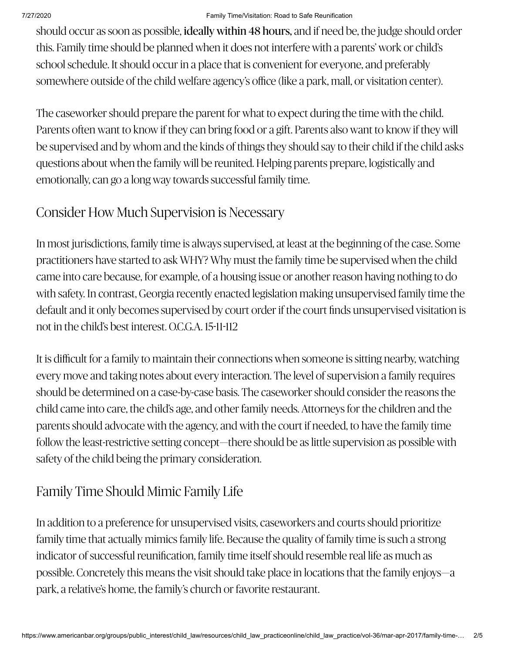#### 7/27/2020 Family Time/Visitation: Road to Safe Reunification

should occur as soon as possible, ideally within 48 hours, and if need be, the judge should order this. Family time should be planned when it does not interfere with a parents' work or child's school schedule. It should occur in a place that is convenient for everyone, and preferably somewhere outside of the child welfare agency's office (like a park, mall, or visitation center).

The caseworker should prepare the parent for what to expect during the time with the child. Parents often want to know if they can bring food or a gift. Parents also want to know if they will be supervised and by whom and the kinds of things they should say to their child if the child asks questions about when the family will be reunited. Helping parents prepare, logistically and emotionally, can go a long way towards successful family time.

### Consider How Much Supervision is Necessary

In most jurisdictions, family time is always supervised, at least at the beginning of the case. Some practitioners have started to ask WHY? Why must the family time be supervised when the child came into care because, for example, of a housing issue or another reason having nothing to do with safety. In contrast, Georgia recently enacted legislation making unsupervised family time the default and it only becomes supervised by court order if the court finds unsupervised visitation is not in the child's best interest. O.C.G.A. 15-11-112

It is difficult for a family to maintain their connections when someone is sitting nearby, watching every move and taking notes about every interaction. The level of supervision a family requires should be determined on a case-by-case basis. The caseworker should consider the reasons the child came into care, the child's age, and other family needs. Attorneys for the children and the parents should advocate with the agency, and with the court if needed, to have the family time follow the least-restrictive setting concept—there should be as little supervision as possible with safety of the child being the primary consideration.

# Family Time Should Mimic Family Life

In addition to a preference for unsupervised visits, caseworkers and courts should prioritize family time that actually mimics family life. Because the quality of family time is such a strong indicator of successful reunification, family time itself should resemble real life as much as possible. Concretely this means the visit should take place in locations that the family enjoys—a park, a relative's home, the family's church or favorite restaurant.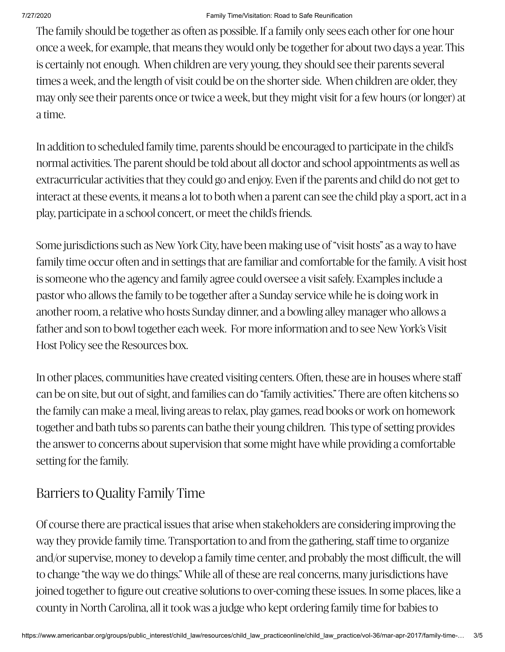The family should be together as often as possible. If a family only sees each other for one hour once a week, for example, that means they would only be together for about two days a year. This is certainly not enough. When children are very young, they should see their parents several times a week, and the length of visit could be on the shorter side. When children are older, they may only see their parents once or twice a week, but they might visit for a few hours (or longer) at a time.

In addition to scheduled family time, parents should be encouraged to participate in the child's normal activities. The parent should be told about all doctor and school appointments as well as extracurricular activities that they could go and enjoy. Even if the parents and child do not get to interact at these events, it means a lot to both when a parent can see the child play a sport, act in a play, participate in a school concert, or meet the child's friends.

Some jurisdictions such as New York City, have been making use of "visit hosts" as a way to have family time occur often and in settings that are familiar and comfortable for the family. A visit host is someone who the agency and family agree could oversee a visit safely. Examples include a pastor who allows the family to be together after a Sunday service while he is doing work in another room, a relative who hosts Sunday dinner, and a bowling alley manager who allows a father and son to bowl together each week. For more information and to see New York's Visit Host Policy see the Resources box.

In other places, communities have created visiting centers. Often, these are in houses where staff can be on site, but out of sight, and families can do "family activities." There are often kitchens so the family can make a meal, living areas to relax, play games, read books or work on homework together and bath tubs so parents can bathe their young children. This type of setting provides the answer to concerns about supervision that some might have while providing a comfortable setting for the family.

# Barriers to Quality Family Time

Of course there are practical issues that arise when stakeholders are considering improving the way they provide family time. Transportation to and from the gathering, staff time to organize and/or supervise, money to develop a family time center, and probably the most difficult, the will to change "the way we do things." While all of these are real concerns, many jurisdictions have joined together to figure out creative solutions to over-coming these issues. In some places, like a county in North Carolina, all it took was a judge who kept ordering family time for babies to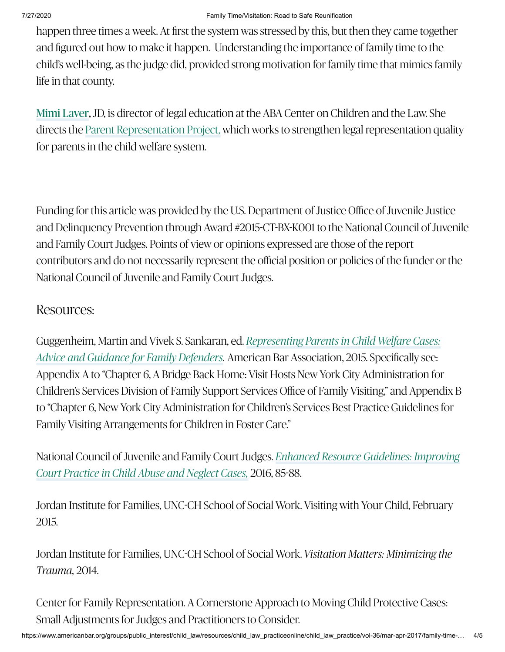happen three times a week. At first the system was stressed by this, but then they came together and figured out how to make it happen. Understanding the importance of family time to the child's well-being, as the judge did, provided strong motivation for family time that mimics family life in that county.

Mimi [Laver](https://www.americanbar.org/groups/public_interest/child_law/staff1/team/mimi-laver/), JD, is director of legal education at the ABA Center on Children and the Law. She directsthe Parent Representation Project, which works to strengthen legal representation quality for parents in the child welfare system.

Funding for this article was provided by the U.S. Department of Justice Office of Juvenile Justice and Delinquency Prevention through Award #2015-CT-BX-K001 to the National Council of Juvenile and Family Court Judges. Points of view or opinions expressed are those of the report contributors and do not necessarily represent the official position or policies of the funder or the National Council of Juvenile and Family Court Judges.

#### Resources:

Guggenheim, Martin and Vivek S. Sankaran, ed. *Representing Parents in Child Welfare Cases:* Advice and Guidance for Family Defenders. [American Bar Association, 2015. Specifically](http://shop.americanbar.org/eBus/Store/ProductDetails.aspx?productId=224751148) see: Appendix A to "Chapter 6, A Bridge Back Home: Visit Hosts New York City Administration for Children's Services Division of Family Support Services Office of Family Visiting," and Appendix B to "Chapter 6, New York City Administration for Children's Services Best Practice Guidelines for Family Visiting Arrangements for Children in Foster Care."

[National Council of Juvenile and Family](https://www.ncjfcj.org/sites/default/files/%20NCJFCJ%20Enhanced%20Resource%20Guidelines%2005-2016.pdf) Court Judges. *Enhanced Resource Guidelines: Improving* 2016, 8588. *Court Practice in Child Abuse and Neglect Cases,*

Jordan Institute for Families, UNC-CH School of Social Work. Visiting with Your Child, February 2015.

Jordan Institute for Families, UNC-CH School of Social Work. *Visitation Matters: Minimizing the Trauma,* 2014.

Center for Family Representation. A Cornerstone Approach to Moving Child Protective Cases: Small Adjustments for Judges and Practitioners to Consider.